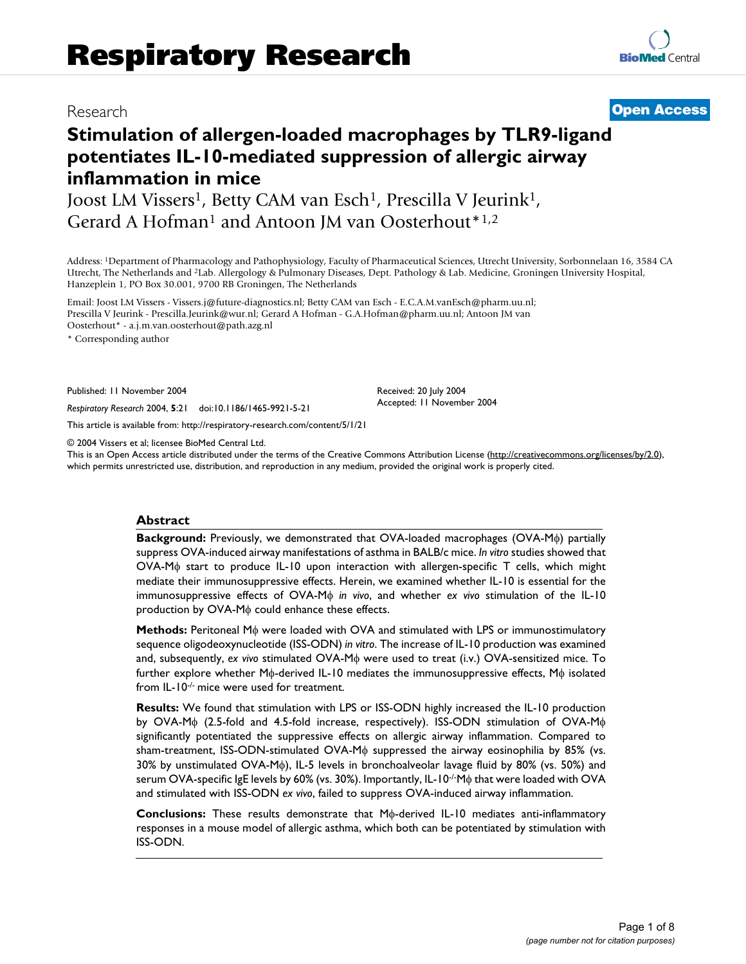# Research **[Open Access](http://www.biomedcentral.com/info/about/charter/)**

**[BioMed](http://www.biomedcentral.com/)** Central

# **Stimulation of allergen-loaded macrophages by TLR9-ligand potentiates IL-10-mediated suppression of allergic airway inflammation in mice**

Joost LM Vissers<sup>1</sup>, Betty CAM van Esch<sup>1</sup>, Prescilla V Jeurink<sup>1</sup>, Gerard A Hofman<sup>1</sup> and Antoon JM van Oosterhout<sup>\*1,2</sup>

Address: 1Department of Pharmacology and Pathophysiology, Faculty of Pharmaceutical Sciences, Utrecht University, Sorbonnelaan 16, 3584 CA Utrecht, The Netherlands and 2Lab. Allergology & Pulmonary Diseases, Dept. Pathology & Lab. Medicine, Groningen University Hospital, Hanzeplein 1, PO Box 30.001, 9700 RB Groningen, The Netherlands

Email: Joost LM Vissers - Vissers.j@future-diagnostics.nl; Betty CAM van Esch - E.C.A.M.vanEsch@pharm.uu.nl; Prescilla V Jeurink - Prescilla.Jeurink@wur.nl; Gerard A Hofman - G.A.Hofman@pharm.uu.nl; Antoon JM van Oosterhout\* - a.j.m.van.oosterhout@path.azg.nl

\* Corresponding author

Published: 11 November 2004

*Respiratory Research* 2004, **5**:21 doi:10.1186/1465-9921-5-21

[This article is available from: http://respiratory-research.com/content/5/1/21](http://respiratory-research.com/content/5/1/21)

© 2004 Vissers et al; licensee BioMed Central Ltd.

This is an Open Access article distributed under the terms of the Creative Commons Attribution License [\(http://creativecommons.org/licenses/by/2.0\)](http://creativecommons.org/licenses/by/2.0), which permits unrestricted use, distribution, and reproduction in any medium, provided the original work is properly cited.

Received: 20 July 2004 Accepted: 11 November 2004

#### **Abstract**

**Background:** Previously, we demonstrated that OVA-loaded macrophages (OVA-Mφ) partially suppress OVA-induced airway manifestations of asthma in BALB/c mice. *In vitro* studies showed that OVA-Mφ start to produce IL-10 upon interaction with allergen-specific T cells, which might mediate their immunosuppressive effects. Herein, we examined whether IL-10 is essential for the immunosuppressive effects of OVA-Mφ *in vivo*, and whether *ex vivo* stimulation of the IL-10 production by OVA-Mφ could enhance these effects.

**Methods:** Peritoneal Mφ were loaded with OVA and stimulated with LPS or immunostimulatory sequence oligodeoxynucleotide (ISS-ODN) *in vitro*. The increase of IL-10 production was examined and, subsequently, *ex vivo* stimulated OVA-Mφ were used to treat (i.v.) OVA-sensitized mice. To further explore whether Mφ-derived IL-10 mediates the immunosuppressive effects, Mφ isolated from IL-10-/- mice were used for treatment.

**Results:** We found that stimulation with LPS or ISS-ODN highly increased the IL-10 production by OVA-Mφ (2.5-fold and 4.5-fold increase, respectively). ISS-ODN stimulation of OVA-Mφ significantly potentiated the suppressive effects on allergic airway inflammation. Compared to sham-treatment, ISS-ODN-stimulated OVA-Mφ suppressed the airway eosinophilia by 85% (vs. 30% by unstimulated OVA-Mφ), IL-5 levels in bronchoalveolar lavage fluid by 80% (vs. 50%) and serum OVA-specific IgE levels by 60% (vs. 30%). Importantly, IL-10-/-Mφ that were loaded with OVA and stimulated with ISS-ODN *ex vivo*, failed to suppress OVA-induced airway inflammation.

**Conclusions:** These results demonstrate that Mφ-derived IL-10 mediates anti-inflammatory responses in a mouse model of allergic asthma, which both can be potentiated by stimulation with ISS-ODN.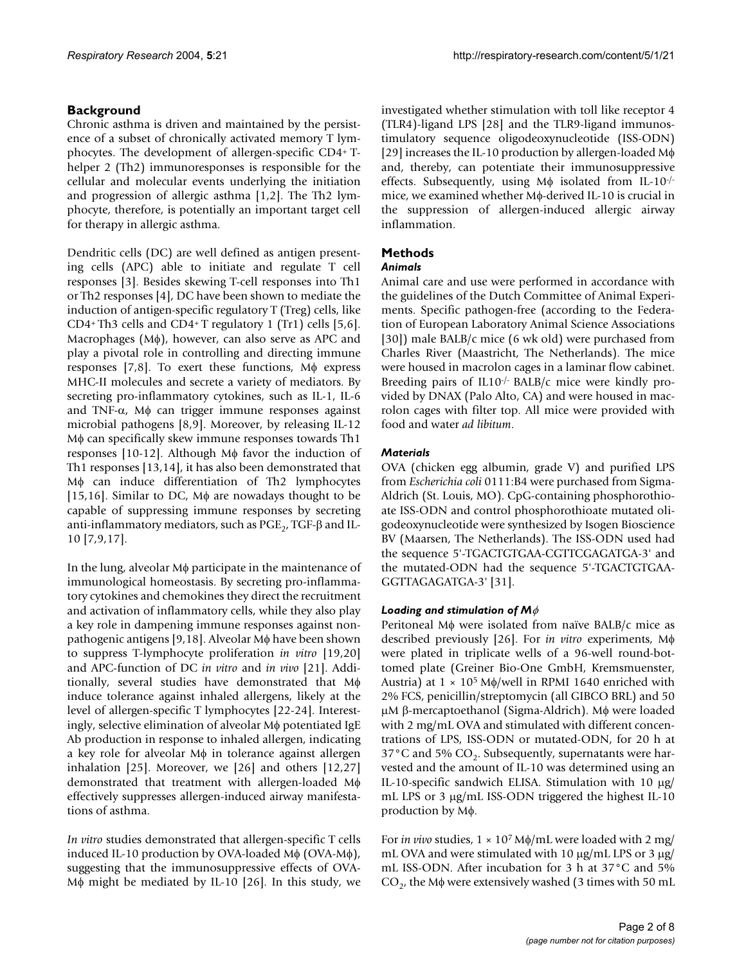# **Background**

Chronic asthma is driven and maintained by the persistence of a subset of chronically activated memory T lymphocytes. The development of allergen-specific CD4+ Thelper 2 (Th2) immunoresponses is responsible for the cellular and molecular events underlying the initiation and progression of allergic asthma [1,2]. The Th2 lymphocyte, therefore, is potentially an important target cell for therapy in allergic asthma.

Dendritic cells (DC) are well defined as antigen presenting cells (APC) able to initiate and regulate T cell responses [3]. Besides skewing T-cell responses into Th1 or Th2 responses [4], DC have been shown to mediate the induction of antigen-specific regulatory T (Treg) cells, like CD4+ Th3 cells and CD4+ T regulatory 1 (Tr1) cells [5,6]. Macrophages (Mφ), however, can also serve as APC and play a pivotal role in controlling and directing immune responses [7,8]. To exert these functions, Mφ express MHC-II molecules and secrete a variety of mediators. By secreting pro-inflammatory cytokines, such as IL-1, IL-6 and TNF- $\alpha$ , M $\phi$  can trigger immune responses against microbial pathogens [8,9]. Moreover, by releasing IL-12 Mφ can specifically skew immune responses towards Th1 responses [10-12]. Although Mφ favor the induction of Th1 responses [13,14], it has also been demonstrated that Mφ can induce differentiation of Th2 lymphocytes [15,16]. Similar to DC, Mφ are nowadays thought to be capable of suppressing immune responses by secreting anti-inflammatory mediators, such as  $\mathrm{PGE}_2$ , TGF- $\beta$  and IL-10 [7,9,17].

In the lung, alveolar Mφ participate in the maintenance of immunological homeostasis. By secreting pro-inflammatory cytokines and chemokines they direct the recruitment and activation of inflammatory cells, while they also play a key role in dampening immune responses against nonpathogenic antigens [9,18]. Alveolar Mφ have been shown to suppress T-lymphocyte proliferation *in vitro* [19,20] and APC-function of DC *in vitro* and *in vivo* [21]. Additionally, several studies have demonstrated that Mφ induce tolerance against inhaled allergens, likely at the level of allergen-specific T lymphocytes [22-24]. Interestingly, selective elimination of alveolar Mφ potentiated IgE Ab production in response to inhaled allergen, indicating a key role for alveolar Mφ in tolerance against allergen inhalation [25]. Moreover, we [26] and others [12,27] demonstrated that treatment with allergen-loaded Mφ effectively suppresses allergen-induced airway manifestations of asthma.

*In vitro* studies demonstrated that allergen-specific T cells induced IL-10 production by OVA-loaded  $M\phi$  (OVA-M $\phi$ ), suggesting that the immunosuppressive effects of OVA-Mφ might be mediated by IL-10 [26]. In this study, we investigated whether stimulation with toll like receptor 4 (TLR4)-ligand LPS [28] and the TLR9-ligand immunostimulatory sequence oligodeoxynucleotide (ISS-ODN) [29] increases the IL-10 production by allergen-loaded Mφ and, thereby, can potentiate their immunosuppressive effects. Subsequently, using Mφ isolated from IL-10-/ mice, we examined whether Mφ-derived IL-10 is crucial in the suppression of allergen-induced allergic airway inflammation.

# **Methods**

# *Animals*

Animal care and use were performed in accordance with the guidelines of the Dutch Committee of Animal Experiments. Specific pathogen-free (according to the Federation of European Laboratory Animal Science Associations [30]) male BALB/c mice (6 wk old) were purchased from Charles River (Maastricht, The Netherlands). The mice were housed in macrolon cages in a laminar flow cabinet. Breeding pairs of IL10-/- BALB/c mice were kindly provided by DNAX (Palo Alto, CA) and were housed in macrolon cages with filter top. All mice were provided with food and water *ad libitum*.

## *Materials*

OVA (chicken egg albumin, grade V) and purified LPS from *Escherichia coli* 0111:B4 were purchased from Sigma-Aldrich (St. Louis, MO). CpG-containing phosphorothioate ISS-ODN and control phosphorothioate mutated oligodeoxynucleotide were synthesized by Isogen Bioscience BV (Maarsen, The Netherlands). The ISS-ODN used had the sequence 5'-TGACTGTGAA-CGTTCGAGATGA-3' and the mutated-ODN had the sequence 5'-TGACTGTGAA-GGTTAGAGATGA-3' [31].

#### *Loading and stimulation of M*φ

Peritoneal Mφ were isolated from naïve BALB/c mice as described previously [26]. For *in vitro* experiments, Mφ were plated in triplicate wells of a 96-well round-bottomed plate (Greiner Bio-One GmbH, Kremsmuenster, Austria) at  $1 \times 10^5$  M $\phi$ /well in RPMI 1640 enriched with 2% FCS, penicillin/streptomycin (all GIBCO BRL) and 50 µM β-mercaptoethanol (Sigma-Aldrich). Mφ were loaded with 2 mg/mL OVA and stimulated with different concentrations of LPS, ISS-ODN or mutated-ODN, for 20 h at  $37^{\circ}$ C and 5% CO<sub>2</sub>. Subsequently, supernatants were harvested and the amount of IL-10 was determined using an IL-10-specific sandwich ELISA. Stimulation with 10 µg/ mL LPS or 3 µg/mL ISS-ODN triggered the highest IL-10 production by Mφ.

For *in vivo* studies, 1 × 107 Mφ/mL were loaded with 2 mg/ mL OVA and were stimulated with 10  $\mu$ g/mL LPS or 3  $\mu$ g/ mL ISS-ODN. After incubation for 3 h at 37°C and 5%  $CO<sub>2</sub>$ , the M $\phi$  were extensively washed (3 times with 50 mL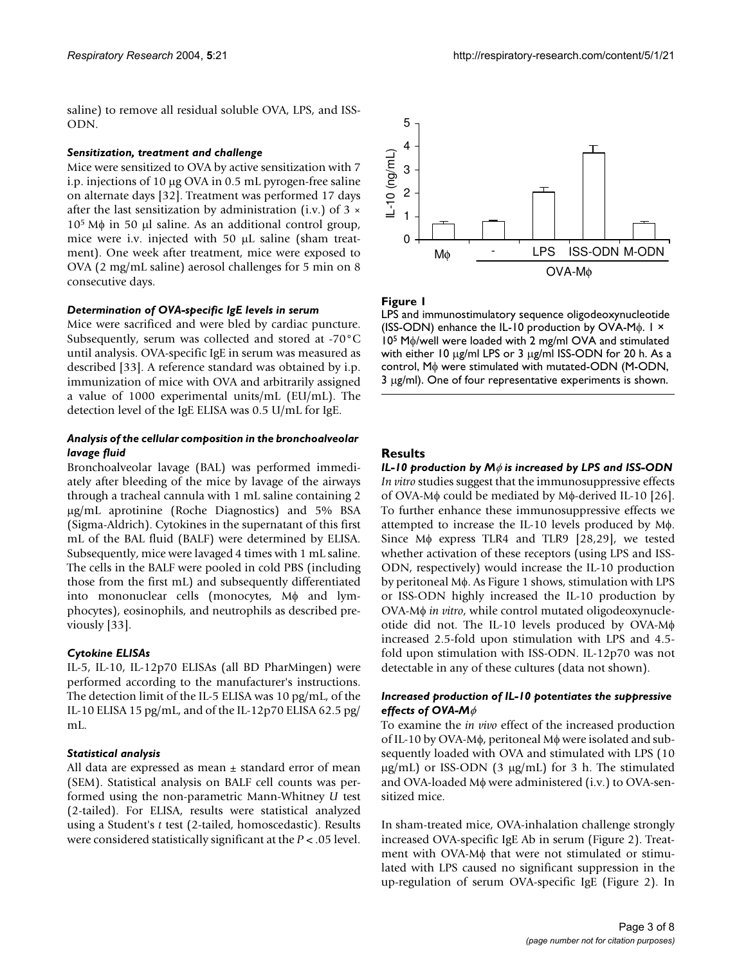saline) to remove all residual soluble OVA, LPS, and ISS-ODN.

#### *Sensitization, treatment and challenge*

Mice were sensitized to OVA by active sensitization with 7 i.p. injections of 10 µg OVA in 0.5 mL pyrogen-free saline on alternate days [32]. Treatment was performed 17 days after the last sensitization by administration (i.v.) of  $3 \times$  $10<sup>5</sup>$  Mφ in 50 µl saline. As an additional control group, mice were i.v. injected with 50 µL saline (sham treatment). One week after treatment, mice were exposed to OVA (2 mg/mL saline) aerosol challenges for 5 min on 8 consecutive days.

#### *Determination of OVA-specific IgE levels in serum*

Mice were sacrificed and were bled by cardiac puncture. Subsequently, serum was collected and stored at -70°C until analysis. OVA-specific IgE in serum was measured as described [33]. A reference standard was obtained by i.p. immunization of mice with OVA and arbitrarily assigned a value of 1000 experimental units/mL (EU/mL). The detection level of the IgE ELISA was 0.5 U/mL for IgE.

#### *Analysis of the cellular composition in the bronchoalveolar lavage fluid*

Bronchoalveolar lavage (BAL) was performed immediately after bleeding of the mice by lavage of the airways through a tracheal cannula with 1 mL saline containing 2 µg/mL aprotinine (Roche Diagnostics) and 5% BSA (Sigma-Aldrich). Cytokines in the supernatant of this first mL of the BAL fluid (BALF) were determined by ELISA. Subsequently, mice were lavaged 4 times with 1 mL saline. The cells in the BALF were pooled in cold PBS (including those from the first mL) and subsequently differentiated into mononuclear cells (monocytes, Mφ and lymphocytes), eosinophils, and neutrophils as described previously [33].

#### *Cytokine ELISAs*

IL-5, IL-10, IL-12p70 ELISAs (all BD PharMingen) were performed according to the manufacturer's instructions. The detection limit of the IL-5 ELISA was 10 pg/mL, of the IL-10 ELISA 15 pg/mL, and of the IL-12p70 ELISA 62.5 pg/ mL.

#### *Statistical analysis*

All data are expressed as mean  $\pm$  standard error of mean (SEM). Statistical analysis on BALF cell counts was performed using the non-parametric Mann-Whitney *U* test (2-tailed). For ELISA, results were statistical analyzed using a Student's *t* test (2-tailed, homoscedastic). Results were considered statistically significant at the *P* < .05 level.



#### **Figure 1**

LPS and immunostimulatory sequence oligodeoxynucleotide (ISS-ODN) enhance the IL-10 production by OVA-Mφ. 1 × 105 Mφ/well were loaded with 2 mg/ml OVA and stimulated with either 10 µg/ml LPS or 3 µg/ml ISS-ODN for 20 h. As a control, Mφ were stimulated with mutated-ODN (M-ODN, 3 µg/ml). One of four representative experiments is shown.

### **Results**

*IL-10 production by M*φ *is increased by LPS and ISS-ODN In vitro* studies suggest that the immunosuppressive effects of OVA-Mφ could be mediated by Mφ-derived IL-10 [26]. To further enhance these immunosuppressive effects we attempted to increase the IL-10 levels produced by Mφ. Since Mφ express TLR4 and TLR9 [28,29], we tested whether activation of these receptors (using LPS and ISS-ODN, respectively) would increase the IL-10 production by peritoneal Mφ. As Figure 1 shows, stimulation with LPS or ISS-ODN highly increased the IL-10 production by OVA-Mφ *in vitro*, while control mutated oligodeoxynucleotide did not. The IL-10 levels produced by OVA-Mφ increased 2.5-fold upon stimulation with LPS and 4.5 fold upon stimulation with ISS-ODN. IL-12p70 was not detectable in any of these cultures (data not shown).

#### *Increased production of IL-10 potentiates the suppressive effects of OVA-M*φ

To examine the *in vivo* effect of the increased production of IL-10 by OVA-Mφ, peritoneal Mφ were isolated and subsequently loaded with OVA and stimulated with LPS (10  $\mu$ g/mL) or ISS-ODN (3  $\mu$ g/mL) for 3 h. The stimulated and OVA-loaded Mφ were administered (i.v.) to OVA-sensitized mice.

In sham-treated mice, OVA-inhalation challenge strongly increased OVA-specific IgE Ab in serum (Figure 2). Treatment with OVA-Mφ that were not stimulated or stimulated with LPS caused no significant suppression in the up-regulation of serum OVA-specific IgE (Figure 2). In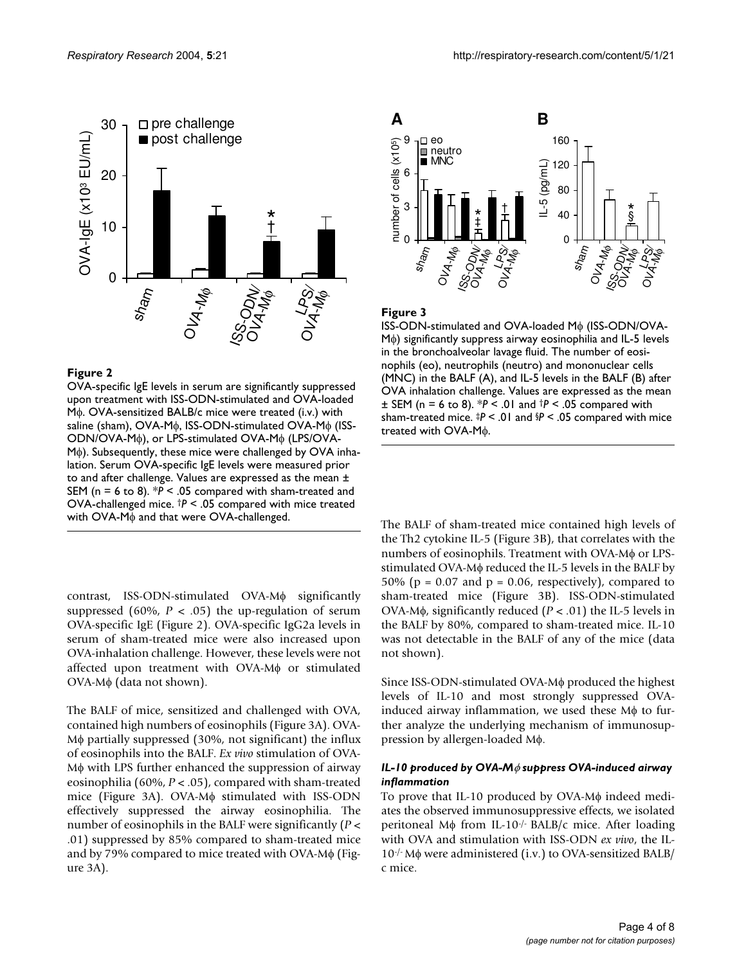

#### Figure 2

OVA-specific IgE levels in serum are significantly suppressed upon treatment with ISS-ODN-stimulated and OVA-loaded Mφ. OVA-sensitized BALB/c mice were treated (i.v.) with saline (sham), OVA-Mφ, ISS-ODN-stimulated OVA-Mφ (ISS-ODN/OVA-Mφ), or LPS-stimulated OVA-Mφ (LPS/OVA-Mφ). Subsequently, these mice were challenged by OVA inhalation. Serum OVA-specific IgE levels were measured prior to and after challenge. Values are expressed as the mean ± SEM (n = 6 to 8). \**P* < .05 compared with sham-treated and OVA-challenged mice. †*P* < .05 compared with mice treated with OVA-Mφ and that were OVA-challenged.

contrast, ISS-ODN-stimulated OVA-Mφ significantly suppressed (60%,  $P < .05$ ) the up-regulation of serum OVA-specific IgE (Figure 2). OVA-specific IgG2a levels in serum of sham-treated mice were also increased upon OVA-inhalation challenge. However, these levels were not affected upon treatment with OVA-Mφ or stimulated OVA-Mφ (data not shown).

The BALF of mice, sensitized and challenged with OVA, contained high numbers of eosinophils (Figure 3A). OVA-Mφ partially suppressed (30%, not significant) the influx of eosinophils into the BALF. *Ex vivo* stimulation of OVA-Mφ with LPS further enhanced the suppression of airway eosinophilia (60%, *P* < .05), compared with sham-treated mice (Figure 3A). OVA-Mφ stimulated with ISS-ODN effectively suppressed the airway eosinophilia. The number of eosinophils in the BALF were significantly (*P* < .01) suppressed by 85% compared to sham-treated mice and by 79% compared to mice treated with OVA-Mφ (Figure 3A).



#### Figure 3

ISS-ODN-stimulated and OVA-loaded Mφ (ISS-ODN/OVA-Mφ) significantly suppress airway eosinophilia and IL-5 levels in the bronchoalveolar lavage fluid. The number of eosinophils (eo), neutrophils (neutro) and mononuclear cells (MNC) in the BALF (A), and IL-5 levels in the BALF (B) after OVA inhalation challenge. Values are expressed as the mean ± SEM (n = 6 to 8). \**P* < .01 and †*P* < .05 compared with sham-treated mice. ‡*P* < .01 and §*P* < .05 compared with mice treated with OVA-Mφ.

The BALF of sham-treated mice contained high levels of the Th2 cytokine IL-5 (Figure 3B), that correlates with the numbers of eosinophils. Treatment with OVA-Mφ or LPSstimulated OVA-Mφ reduced the IL-5 levels in the BALF by 50% ( $p = 0.07$  and  $p = 0.06$ , respectively), compared to sham-treated mice (Figure 3B). ISS-ODN-stimulated OVA-Mφ, significantly reduced (*P* < .01) the IL-5 levels in the BALF by 80%, compared to sham-treated mice. IL-10 was not detectable in the BALF of any of the mice (data not shown).

Since ISS-ODN-stimulated OVA-Mφ produced the highest levels of IL-10 and most strongly suppressed OVAinduced airway inflammation, we used these Mφ to further analyze the underlying mechanism of immunosuppression by allergen-loaded Mφ.

#### *IL-10 produced by OVA-M*φ *suppress OVA-induced airway inflammation*

To prove that IL-10 produced by OVA-Mφ indeed mediates the observed immunosuppressive effects, we isolated peritoneal Mφ from IL-10-/- BALB/c mice. After loading with OVA and stimulation with ISS-ODN *ex vivo*, the IL-10-/- Mφ were administered (i.v.) to OVA-sensitized BALB/ c mice.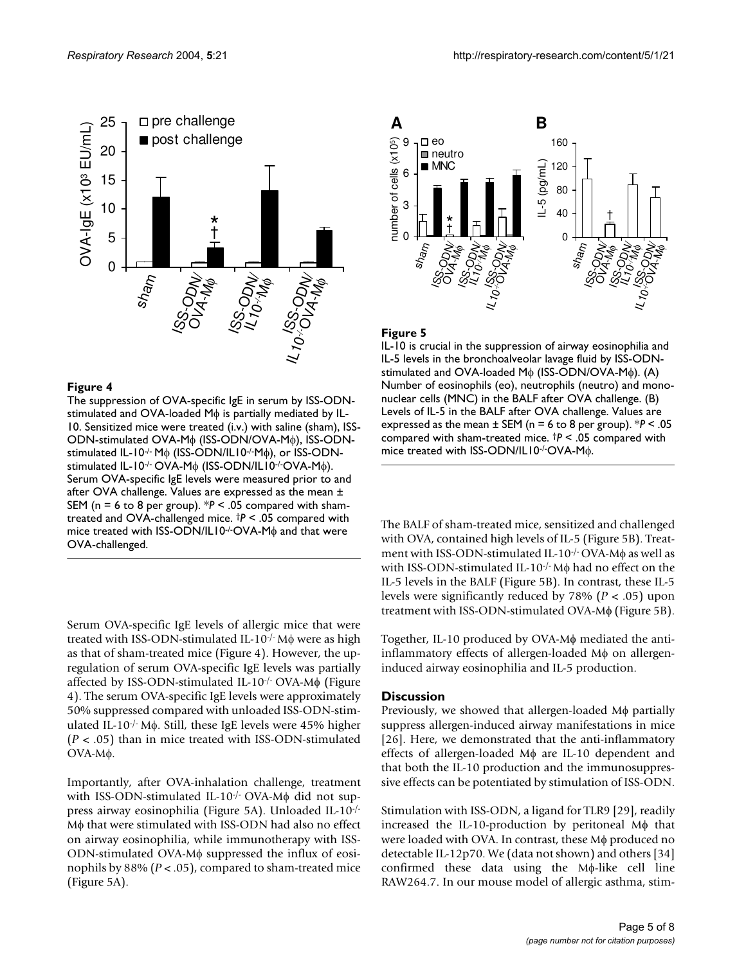

#### Figure 4

The suppression of OVA-specific IgE in serum by ISS-ODNstimulated and OVA-loaded Mφ is partially mediated by IL-10. Sensitized mice were treated (i.v.) with saline (sham), ISS-ODN-stimulated OVA-Mφ (ISS-ODN/OVA-Mφ), ISS-ODNstimulated IL-10-/- Mφ (ISS-ODN/IL10-/-Mφ), or ISS-ODNstimulated IL-10-/- OVA-Mφ (ISS-ODN/IL10-/-OVA-Mφ). Serum OVA-specific IgE levels were measured prior to and after OVA challenge. Values are expressed as the mean ± SEM (n = 6 to 8 per group). \**P* < .05 compared with shamtreated and OVA-challenged mice. †*P* < .05 compared with mice treated with ISS-ODN/IL10<sup>-/-</sup>OVA-Mφ and that were OVA-challenged.

Serum OVA-specific IgE levels of allergic mice that were treated with ISS-ODN-stimulated IL-10-/- Mφ were as high as that of sham-treated mice (Figure 4). However, the upregulation of serum OVA-specific IgE levels was partially affected by ISS-ODN-stimulated IL-10-/- OVA-Mφ (Figure 4). The serum OVA-specific IgE levels were approximately 50% suppressed compared with unloaded ISS-ODN-stimulated IL-10-/- Mφ. Still, these IgE levels were 45% higher (*P* < .05) than in mice treated with ISS-ODN-stimulated OVA-Mφ.

Importantly, after OVA-inhalation challenge, treatment with ISS-ODN-stimulated IL-10<sup>-/-</sup> OVA-Mφ did not suppress airway eosinophilia (Figure 5A). Unloaded IL-10-/- Mφ that were stimulated with ISS-ODN had also no effect on airway eosinophilia, while immunotherapy with ISS-ODN-stimulated OVA-Mφ suppressed the influx of eosinophils by 88% (*P* < .05), compared to sham-treated mice (Figure 5A).



#### Figure 5

IL-10 is crucial in the suppression of airway eosinophilia and IL-5 levels in the bronchoalveolar lavage fluid by ISS-ODNstimulated and OVA-loaded Mφ (ISS-ODN/OVA-Mφ). (A) Number of eosinophils (eo), neutrophils (neutro) and mononuclear cells (MNC) in the BALF after OVA challenge. (B) Levels of IL-5 in the BALF after OVA challenge. Values are expressed as the mean ± SEM (n = 6 to 8 per group). \**P* < .05 compared with sham-treated mice. †*P* < .05 compared with mice treated with ISS-ODN/IL10-/-OVA-Mφ.

The BALF of sham-treated mice, sensitized and challenged with OVA, contained high levels of IL-5 (Figure 5B). Treatment with ISS-ODN-stimulated IL-10-/- OVA-Mφ as well as with ISS-ODN-stimulated IL-10-/- Mφ had no effect on the IL-5 levels in the BALF (Figure 5B). In contrast, these IL-5 levels were significantly reduced by 78% (*P* < .05) upon treatment with ISS-ODN-stimulated OVA-Mφ (Figure 5B).

Together, IL-10 produced by OVA-Mφ mediated the antiinflammatory effects of allergen-loaded Mφ on allergeninduced airway eosinophilia and IL-5 production.

#### **Discussion**

Previously, we showed that allergen-loaded Mφ partially suppress allergen-induced airway manifestations in mice [26]. Here, we demonstrated that the anti-inflammatory effects of allergen-loaded Mφ are IL-10 dependent and that both the IL-10 production and the immunosuppressive effects can be potentiated by stimulation of ISS-ODN.

Stimulation with ISS-ODN, a ligand for TLR9 [29], readily increased the IL-10-production by peritoneal Mφ that were loaded with OVA. In contrast, these Mφ produced no detectable IL-12p70. We (data not shown) and others [34] confirmed these data using the Mφ-like cell line RAW264.7. In our mouse model of allergic asthma, stim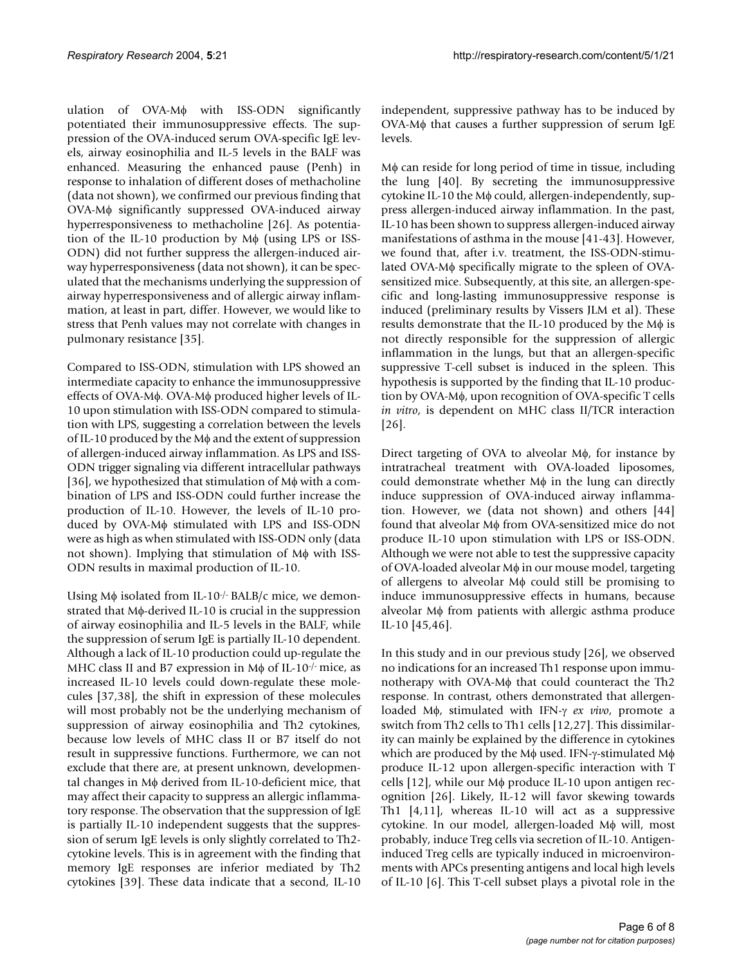ulation of OVA-Mφ with ISS-ODN significantly potentiated their immunosuppressive effects. The suppression of the OVA-induced serum OVA-specific IgE levels, airway eosinophilia and IL-5 levels in the BALF was enhanced. Measuring the enhanced pause (Penh) in response to inhalation of different doses of methacholine (data not shown), we confirmed our previous finding that OVA-Mφ significantly suppressed OVA-induced airway hyperresponsiveness to methacholine [26]. As potentiation of the IL-10 production by Mφ (using LPS or ISS-ODN) did not further suppress the allergen-induced airway hyperresponsiveness (data not shown), it can be speculated that the mechanisms underlying the suppression of airway hyperresponsiveness and of allergic airway inflammation, at least in part, differ. However, we would like to stress that Penh values may not correlate with changes in pulmonary resistance [35].

Compared to ISS-ODN, stimulation with LPS showed an intermediate capacity to enhance the immunosuppressive effects of OVA-Mφ. OVA-Mφ produced higher levels of IL-10 upon stimulation with ISS-ODN compared to stimulation with LPS, suggesting a correlation between the levels of IL-10 produced by the Mφ and the extent of suppression of allergen-induced airway inflammation. As LPS and ISS-ODN trigger signaling via different intracellular pathways [36], we hypothesized that stimulation of Mφ with a combination of LPS and ISS-ODN could further increase the production of IL-10. However, the levels of IL-10 produced by OVA-Mφ stimulated with LPS and ISS-ODN were as high as when stimulated with ISS-ODN only (data not shown). Implying that stimulation of Mφ with ISS-ODN results in maximal production of IL-10.

Using  $M\phi$  isolated from IL-10<sup>-/-</sup> BALB/c mice, we demonstrated that Mφ-derived IL-10 is crucial in the suppression of airway eosinophilia and IL-5 levels in the BALF, while the suppression of serum IgE is partially IL-10 dependent. Although a lack of IL-10 production could up-regulate the MHC class II and B7 expression in Mφ of IL-10-/- mice, as increased IL-10 levels could down-regulate these molecules [37,38], the shift in expression of these molecules will most probably not be the underlying mechanism of suppression of airway eosinophilia and Th2 cytokines, because low levels of MHC class II or B7 itself do not result in suppressive functions. Furthermore, we can not exclude that there are, at present unknown, developmental changes in Mφ derived from IL-10-deficient mice, that may affect their capacity to suppress an allergic inflammatory response. The observation that the suppression of IgE is partially IL-10 independent suggests that the suppression of serum IgE levels is only slightly correlated to Th2 cytokine levels. This is in agreement with the finding that memory IgE responses are inferior mediated by Th2 cytokines [39]. These data indicate that a second, IL-10

independent, suppressive pathway has to be induced by OVA-Mφ that causes a further suppression of serum IgE levels.

Mφ can reside for long period of time in tissue, including the lung [40]. By secreting the immunosuppressive cytokine IL-10 the Mφ could, allergen-independently, suppress allergen-induced airway inflammation. In the past, IL-10 has been shown to suppress allergen-induced airway manifestations of asthma in the mouse [41-43]. However, we found that, after i.v. treatment, the ISS-ODN-stimulated OVA-Mφ specifically migrate to the spleen of OVAsensitized mice. Subsequently, at this site, an allergen-specific and long-lasting immunosuppressive response is induced (preliminary results by Vissers JLM et al). These results demonstrate that the IL-10 produced by the Mφ is not directly responsible for the suppression of allergic inflammation in the lungs, but that an allergen-specific suppressive T-cell subset is induced in the spleen. This hypothesis is supported by the finding that IL-10 production by OVA-Mφ, upon recognition of OVA-specific T cells *in vitro*, is dependent on MHC class II/TCR interaction [26].

Direct targeting of OVA to alveolar Mφ, for instance by intratracheal treatment with OVA-loaded liposomes, could demonstrate whether Mφ in the lung can directly induce suppression of OVA-induced airway inflammation. However, we (data not shown) and others [44] found that alveolar Mφ from OVA-sensitized mice do not produce IL-10 upon stimulation with LPS or ISS-ODN. Although we were not able to test the suppressive capacity of OVA-loaded alveolar Mφ in our mouse model, targeting of allergens to alveolar Mφ could still be promising to induce immunosuppressive effects in humans, because alveolar Mφ from patients with allergic asthma produce IL-10 [45,46].

In this study and in our previous study [26], we observed no indications for an increased Th1 response upon immunotherapy with OVA-Mφ that could counteract the Th2 response. In contrast, others demonstrated that allergenloaded Mφ, stimulated with IFN-γ *ex vivo*, promote a switch from Th2 cells to Th1 cells [12,27]. This dissimilarity can mainly be explained by the difference in cytokines which are produced by the Mφ used. IFN-γ-stimulated Mφ produce IL-12 upon allergen-specific interaction with T cells [12], while our Mφ produce IL-10 upon antigen recognition [26]. Likely, IL-12 will favor skewing towards Th1 [4,11], whereas IL-10 will act as a suppressive cytokine. In our model, allergen-loaded Mφ will, most probably, induce Treg cells via secretion of IL-10. Antigeninduced Treg cells are typically induced in microenvironments with APCs presenting antigens and local high levels of IL-10 [6]. This T-cell subset plays a pivotal role in the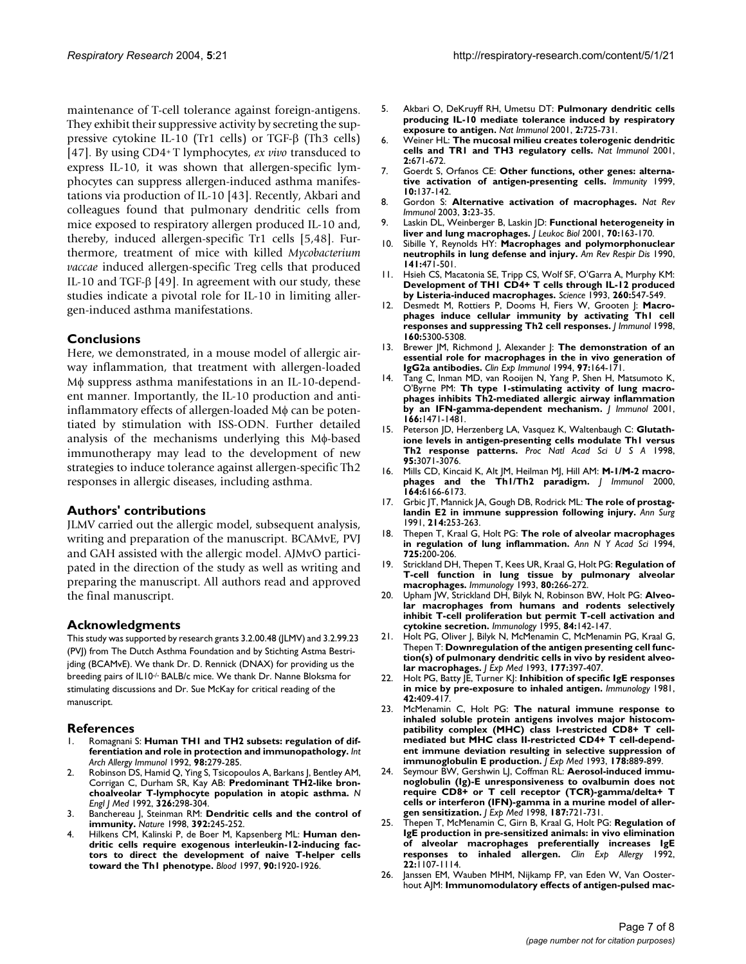maintenance of T-cell tolerance against foreign-antigens. They exhibit their suppressive activity by secreting the suppressive cytokine IL-10 (Tr1 cells) or TGF-β (Th3 cells) [47]. By using CD4+ T lymphocytes, *ex vivo* transduced to express IL-10, it was shown that allergen-specific lymphocytes can suppress allergen-induced asthma manifestations via production of IL-10 [43]. Recently, Akbari and colleagues found that pulmonary dendritic cells from mice exposed to respiratory allergen produced IL-10 and, thereby, induced allergen-specific Tr1 cells [5,48]. Furthermore, treatment of mice with killed *Mycobacterium vaccae* induced allergen-specific Treg cells that produced IL-10 and TGF-β [49]. In agreement with our study, these studies indicate a pivotal role for IL-10 in limiting allergen-induced asthma manifestations.

#### **Conclusions**

Here, we demonstrated, in a mouse model of allergic airway inflammation, that treatment with allergen-loaded Mφ suppress asthma manifestations in an IL-10-dependent manner. Importantly, the IL-10 production and antiinflammatory effects of allergen-loaded Mφ can be potentiated by stimulation with ISS-ODN. Further detailed analysis of the mechanisms underlying this Mφ-based immunotherapy may lead to the development of new strategies to induce tolerance against allergen-specific Th2 responses in allergic diseases, including asthma.

#### **Authors' contributions**

JLMV carried out the allergic model, subsequent analysis, writing and preparation of the manuscript. BCAMvE, PVJ and GAH assisted with the allergic model. AJMvO participated in the direction of the study as well as writing and preparing the manuscript. All authors read and approved the final manuscript.

#### **Acknowledgments**

This study was supported by research grants 3.2.00.48 (JLMV) and 3.2.99.23 (PVJ) from The Dutch Asthma Foundation and by Stichting Astma Bestrijding (BCAMvE). We thank Dr. D. Rennick (DNAX) for providing us the breeding pairs of IL10<sup>-/-</sup> BALB/c mice. We thank Dr. Nanne Bloksma for stimulating discussions and Dr. Sue McKay for critical reading of the manuscript.

#### **References**

- Romagnani S: Human THI and TH2 subsets: regulation of dif**[ferentiation and role in protection and immunopathology.](http://www.ncbi.nlm.nih.gov/entrez/query.fcgi?cmd=Retrieve&db=PubMed&dopt=Abstract&list_uids=1422257)** *Int Arch Allergy Immunol* 1992, **98:**279-285.
- 2. Robinson DS, Hamid Q, Ying S, Tsicopoulos A, Barkans J, Bentley AM, Corrigan C, Durham SR, Kay AB: **[Predominant TH2-like bron](http://www.ncbi.nlm.nih.gov/entrez/query.fcgi?cmd=Retrieve&db=PubMed&dopt=Abstract&list_uids=1530827)[choalveolar T-lymphocyte population in atopic asthma.](http://www.ncbi.nlm.nih.gov/entrez/query.fcgi?cmd=Retrieve&db=PubMed&dopt=Abstract&list_uids=1530827)** *N Engl J Med* 1992, **326:**298-304.
- 3. Banchereau J, Steinman RM: **[Dendritic cells and the control of](http://www.ncbi.nlm.nih.gov/entrez/query.fcgi?cmd=Retrieve&db=PubMed&dopt=Abstract&list_uids=9521319) [immunity.](http://www.ncbi.nlm.nih.gov/entrez/query.fcgi?cmd=Retrieve&db=PubMed&dopt=Abstract&list_uids=9521319)** *Nature* 1998, **392:**245-252.
- 4. Hilkens CM, Kalinski P, de Boer M, Kapsenberg ML: **[Human den](http://www.ncbi.nlm.nih.gov/entrez/query.fcgi?cmd=Retrieve&db=PubMed&dopt=Abstract&list_uids=9292525)dritic cells require exogenous interleukin-12-inducing fac[tors to direct the development of naive T-helper cells](http://www.ncbi.nlm.nih.gov/entrez/query.fcgi?cmd=Retrieve&db=PubMed&dopt=Abstract&list_uids=9292525) [toward the Th1 phenotype.](http://www.ncbi.nlm.nih.gov/entrez/query.fcgi?cmd=Retrieve&db=PubMed&dopt=Abstract&list_uids=9292525)** *Blood* 1997, **90:**1920-1926.
- 5. Akbari O, DeKruyff RH, Umetsu DT: **[Pulmonary dendritic cells](http://www.ncbi.nlm.nih.gov/entrez/query.fcgi?cmd=Retrieve&db=PubMed&dopt=Abstract&list_uids=11477409) [producing IL-10 mediate tolerance induced by respiratory](http://www.ncbi.nlm.nih.gov/entrez/query.fcgi?cmd=Retrieve&db=PubMed&dopt=Abstract&list_uids=11477409) [exposure to antigen.](http://www.ncbi.nlm.nih.gov/entrez/query.fcgi?cmd=Retrieve&db=PubMed&dopt=Abstract&list_uids=11477409)** *Nat Immunol* 2001, **2:**725-731.
- 6. Weiner HL: **[The mucosal milieu creates tolerogenic dendritic](http://www.ncbi.nlm.nih.gov/entrez/query.fcgi?cmd=Retrieve&db=PubMed&dopt=Abstract&list_uids=11477400) [cells and TR1 and TH3 regulatory cells.](http://www.ncbi.nlm.nih.gov/entrez/query.fcgi?cmd=Retrieve&db=PubMed&dopt=Abstract&list_uids=11477400)** *Nat Immunol* 2001, **2:**671-672.
- 7. Goerdt S, Orfanos CE: **[Other functions, other genes: alterna](http://www.ncbi.nlm.nih.gov/entrez/query.fcgi?cmd=Retrieve&db=PubMed&dopt=Abstract&list_uids=10072066)[tive activation of antigen-presenting cells.](http://www.ncbi.nlm.nih.gov/entrez/query.fcgi?cmd=Retrieve&db=PubMed&dopt=Abstract&list_uids=10072066)** *Immunity* 1999, **10:**137-142.
- 8. Gordon S: **[Alternative activation of macrophages.](http://www.ncbi.nlm.nih.gov/entrez/query.fcgi?cmd=Retrieve&db=PubMed&dopt=Abstract&list_uids=12511873)** *Nat Rev Immunol* 2003, **3:**23-35.
- 9. Laskin DL, Weinberger B, Laskin JD: **[Functional heterogeneity in](http://www.ncbi.nlm.nih.gov/entrez/query.fcgi?cmd=Retrieve&db=PubMed&dopt=Abstract&list_uids=11493607) [liver and lung macrophages.](http://www.ncbi.nlm.nih.gov/entrez/query.fcgi?cmd=Retrieve&db=PubMed&dopt=Abstract&list_uids=11493607)** *J Leukoc Biol* 2001, **70:**163-170.
- 10. Sibille Y, Reynolds HY: **[Macrophages and polymorphonuclear](http://www.ncbi.nlm.nih.gov/entrez/query.fcgi?cmd=Retrieve&db=PubMed&dopt=Abstract&list_uids=2405761) [neutrophils in lung defense and injury.](http://www.ncbi.nlm.nih.gov/entrez/query.fcgi?cmd=Retrieve&db=PubMed&dopt=Abstract&list_uids=2405761)** *Am Rev Respir Dis* 1990, **141:**471-501.
- 11. Hsieh CS, Macatonia SE, Tripp CS, Wolf SF, O'Garra A, Murphy KM: **[Development of TH1 CD4+ T cells through IL-12 produced](http://www.ncbi.nlm.nih.gov/entrez/query.fcgi?cmd=Retrieve&db=PubMed&dopt=Abstract&list_uids=8097338) [by Listeria-induced macrophages.](http://www.ncbi.nlm.nih.gov/entrez/query.fcgi?cmd=Retrieve&db=PubMed&dopt=Abstract&list_uids=8097338)** *Science* 1993, **260:**547-549.
- 12. Desmedt M, Rottiers P, Dooms H, Fiers W, Grooten J: **[Macro](http://www.ncbi.nlm.nih.gov/entrez/query.fcgi?cmd=Retrieve&db=PubMed&dopt=Abstract&list_uids=9605128)[phages induce cellular immunity by activating Th1 cell](http://www.ncbi.nlm.nih.gov/entrez/query.fcgi?cmd=Retrieve&db=PubMed&dopt=Abstract&list_uids=9605128) [responses and suppressing Th2 cell responses.](http://www.ncbi.nlm.nih.gov/entrez/query.fcgi?cmd=Retrieve&db=PubMed&dopt=Abstract&list_uids=9605128)** *J Immunol* 1998, **160:**5300-5308.
- 13. Brewer JM, Richmond J, Alexander J: [The demonstration of an](http://www.ncbi.nlm.nih.gov/entrez/query.fcgi?cmd=Retrieve&db=PubMed&dopt=Abstract&list_uids=8033413) **[essential role for macrophages in the in vivo generation of](http://www.ncbi.nlm.nih.gov/entrez/query.fcgi?cmd=Retrieve&db=PubMed&dopt=Abstract&list_uids=8033413) [IgG2a antibodies.](http://www.ncbi.nlm.nih.gov/entrez/query.fcgi?cmd=Retrieve&db=PubMed&dopt=Abstract&list_uids=8033413)** *Clin Exp Immunol* 1994, **97:**164-171.
- Tang C, Inman MD, van Rooijen N, Yang P, Shen H, Matsumoto K, O'Byrne PM: **[Th type 1-stimulating activity of lung macro](http://www.ncbi.nlm.nih.gov/entrez/query.fcgi?cmd=Retrieve&db=PubMed&dopt=Abstract&list_uids=11160186)[phages inhibits Th2-mediated allergic airway inflammation](http://www.ncbi.nlm.nih.gov/entrez/query.fcgi?cmd=Retrieve&db=PubMed&dopt=Abstract&list_uids=11160186) [by an IFN-gamma-dependent mechanism.](http://www.ncbi.nlm.nih.gov/entrez/query.fcgi?cmd=Retrieve&db=PubMed&dopt=Abstract&list_uids=11160186)** *J Immunol* 2001, **166:**1471-1481.
- 15. Peterson JD, Herzenberg LA, Vasquez K, Waltenbaugh C: **[Glutath](http://www.ncbi.nlm.nih.gov/entrez/query.fcgi?cmd=Retrieve&db=PubMed&dopt=Abstract&list_uids=9501217)[ione levels in antigen-presenting cells modulate Th1 versus](http://www.ncbi.nlm.nih.gov/entrez/query.fcgi?cmd=Retrieve&db=PubMed&dopt=Abstract&list_uids=9501217) [Th2 response patterns.](http://www.ncbi.nlm.nih.gov/entrez/query.fcgi?cmd=Retrieve&db=PubMed&dopt=Abstract&list_uids=9501217)** *Proc Natl Acad Sci U S A* 1998, **95:**3071-3076.
- 16. Mills CD, Kincaid K, Alt JM, Heilman MJ, Hill AM: **[M-1/M-2 macro](http://www.ncbi.nlm.nih.gov/entrez/query.fcgi?cmd=Retrieve&db=PubMed&dopt=Abstract&list_uids=10843666)[phages and the Th1/Th2 paradigm.](http://www.ncbi.nlm.nih.gov/entrez/query.fcgi?cmd=Retrieve&db=PubMed&dopt=Abstract&list_uids=10843666)** *J Immunol* 2000, **164:**6166-6173.
- 17. Grbic JT, Mannick JA, Gough DB, Rodrick ML: **[The role of prostag](http://www.ncbi.nlm.nih.gov/entrez/query.fcgi?cmd=Retrieve&db=PubMed&dopt=Abstract&list_uids=1929607)[landin E2 in immune suppression following injury.](http://www.ncbi.nlm.nih.gov/entrez/query.fcgi?cmd=Retrieve&db=PubMed&dopt=Abstract&list_uids=1929607)** *Ann Surg* 1991, **214:**253-263.
- 18. Thepen T, Kraal G, Holt PG: **[The role of alveolar macrophages](http://www.ncbi.nlm.nih.gov/entrez/query.fcgi?cmd=Retrieve&db=PubMed&dopt=Abstract&list_uids=8030991) [in regulation of lung inflammation.](http://www.ncbi.nlm.nih.gov/entrez/query.fcgi?cmd=Retrieve&db=PubMed&dopt=Abstract&list_uids=8030991)** *Ann N Y Acad Sci* 1994, **725:**200-206.
- 19. Strickland DH, Thepen T, Kees UR, Kraal G, Holt PG: **[Regulation of](http://www.ncbi.nlm.nih.gov/entrez/query.fcgi?cmd=Retrieve&db=PubMed&dopt=Abstract&list_uids=7903277) [T-cell function in lung tissue by pulmonary alveolar](http://www.ncbi.nlm.nih.gov/entrez/query.fcgi?cmd=Retrieve&db=PubMed&dopt=Abstract&list_uids=7903277) [macrophages.](http://www.ncbi.nlm.nih.gov/entrez/query.fcgi?cmd=Retrieve&db=PubMed&dopt=Abstract&list_uids=7903277)** *Immunology* 1993, **80:**266-272.
- 20. Upham JW, Strickland DH, Bilyk N, Robinson BW, Holt PG: **[Alveo](http://www.ncbi.nlm.nih.gov/entrez/query.fcgi?cmd=Retrieve&db=PubMed&dopt=Abstract&list_uids=7534261)[lar macrophages from humans and rodents selectively](http://www.ncbi.nlm.nih.gov/entrez/query.fcgi?cmd=Retrieve&db=PubMed&dopt=Abstract&list_uids=7534261) inhibit T-cell proliferation but permit T-cell activation and [cytokine secretion.](http://www.ncbi.nlm.nih.gov/entrez/query.fcgi?cmd=Retrieve&db=PubMed&dopt=Abstract&list_uids=7534261)** *Immunology* 1995, **84:**142-147.
- 21. Holt PG, Oliver J, Bilyk N, McMenamin C, McMenamin PG, Kraal G, Thepen T: **[Downregulation of the antigen presenting cell func](http://www.ncbi.nlm.nih.gov/entrez/query.fcgi?cmd=Retrieve&db=PubMed&dopt=Abstract&list_uids=8426110)[tion\(s\) of pulmonary dendritic cells in vivo by resident alveo](http://www.ncbi.nlm.nih.gov/entrez/query.fcgi?cmd=Retrieve&db=PubMed&dopt=Abstract&list_uids=8426110)[lar macrophages.](http://www.ncbi.nlm.nih.gov/entrez/query.fcgi?cmd=Retrieve&db=PubMed&dopt=Abstract&list_uids=8426110)** *J Exp Med* 1993, **177:**397-407.
- 22. Holt PG, Batty JE, Turner KJ: **[Inhibition of specific IgE responses](http://www.ncbi.nlm.nih.gov/entrez/query.fcgi?cmd=Retrieve&db=PubMed&dopt=Abstract&list_uids=7203528) [in mice by pre-exposure to inhaled antigen.](http://www.ncbi.nlm.nih.gov/entrez/query.fcgi?cmd=Retrieve&db=PubMed&dopt=Abstract&list_uids=7203528)** *Immunology* 1981, **42:**409-417.
- 23. McMenamin C, Holt PG: **[The natural immune response to](http://www.ncbi.nlm.nih.gov/entrez/query.fcgi?cmd=Retrieve&db=PubMed&dopt=Abstract&list_uids=8102390) inhaled soluble protein antigens involves major histocom[patibility complex \(MHC\) class I-restricted CD8+ T cell](http://www.ncbi.nlm.nih.gov/entrez/query.fcgi?cmd=Retrieve&db=PubMed&dopt=Abstract&list_uids=8102390)mediated but MHC class II-restricted CD4+ T cell-dependent immune deviation resulting in selective suppression of [immunoglobulin E production.](http://www.ncbi.nlm.nih.gov/entrez/query.fcgi?cmd=Retrieve&db=PubMed&dopt=Abstract&list_uids=8102390)** *J Exp Med* 1993, **178:**889-899.
- 24. Seymour BW, Gershwin LJ, Coffman RL: **[Aerosol-induced immu](http://www.ncbi.nlm.nih.gov/entrez/query.fcgi?cmd=Retrieve&db=PubMed&dopt=Abstract&list_uids=9480982)noglobulin (Ig)-E unresponsiveness to ovalbumin does not [require CD8+ or T cell receptor \(TCR\)-gamma/delta+ T](http://www.ncbi.nlm.nih.gov/entrez/query.fcgi?cmd=Retrieve&db=PubMed&dopt=Abstract&list_uids=9480982) cells or interferon (IFN)-gamma in a murine model of aller[gen sensitization.](http://www.ncbi.nlm.nih.gov/entrez/query.fcgi?cmd=Retrieve&db=PubMed&dopt=Abstract&list_uids=9480982)** *J Exp Med* 1998, **187:**721-731.
- 25. Thepen T, McMenamin C, Girn B, Kraal G, Holt PG: **[Regulation of](http://www.ncbi.nlm.nih.gov/entrez/query.fcgi?cmd=Retrieve&db=PubMed&dopt=Abstract&list_uids=1486539) [IgE production in pre-sensitized animals: in vivo elimination](http://www.ncbi.nlm.nih.gov/entrez/query.fcgi?cmd=Retrieve&db=PubMed&dopt=Abstract&list_uids=1486539) of alveolar macrophages preferentially increases IgE [responses to inhaled allergen.](http://www.ncbi.nlm.nih.gov/entrez/query.fcgi?cmd=Retrieve&db=PubMed&dopt=Abstract&list_uids=1486539)** *Clin Exp Allergy* 1992, **22:**1107-1114.
- 26. Janssen EM, Wauben MHM, Nijkamp FP, van Eden W, Van Oosterhout AJM: **[Immunomodulatory effects of antigen-pulsed mac](http://www.ncbi.nlm.nih.gov/entrez/query.fcgi?cmd=Retrieve&db=PubMed&dopt=Abstract&list_uids=12151319)-**